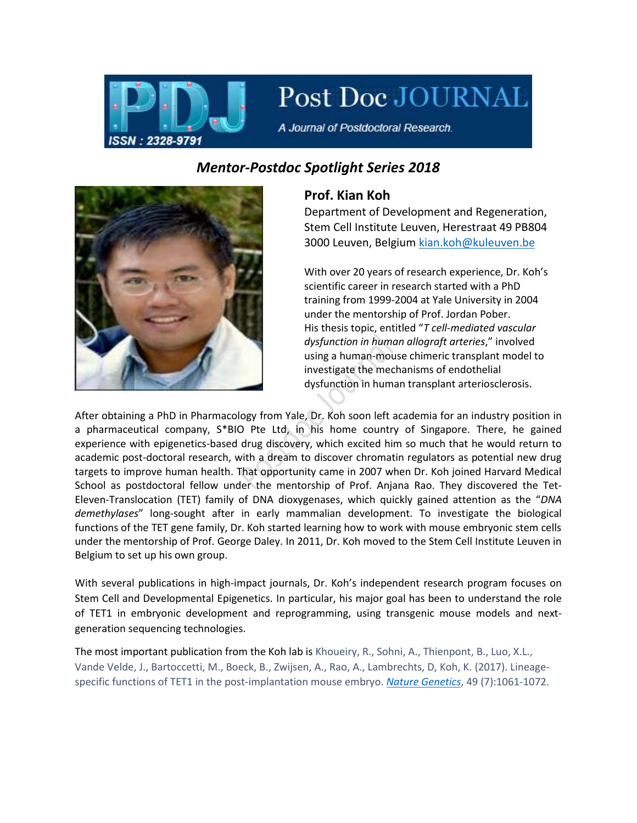

Post Doc JOURNAL

A Journal of Postdoctoral Research.

## *Mentor-Postdoc Spotlight Series 2018*



## **Prof. Kian Koh**

Department of Development and Regeneration, Stem Cell Institute Leuven, Herestraat 49 PB804 3000 Leuven, Belgium [kian.koh@kuleuven.be](mailto:kian.koh@kuleuven.be)

With over 20 years of research experience, Dr. Koh's scientific career in research started with a PhD training from 1999-2004 at Yale University in 2004 under the mentorship of Prof. Jordan Pober. His thesis topic, entitled "*T cell-mediated vascular dysfunction in human allograft arteries*," involved using a human-mouse chimeric transplant model to investigate the mechanisms of endothelial dysfunction in human transplant arteriosclerosis.

After obtaining a PhD in Pharmacology from Yale, Dr. Koh soon left academia for an industry position in a pharmaceutical company, S\*BIO Pte Ltd, in his home country of Singapore. There, he gained experience with epigenetics-based drug discovery, which excited him so much that he would return to academic post-doctoral research, with a dream to discover chromatin regulators as potential new drug targets to improve human health. That opportunity came in 2007 when Dr. Koh joined Harvard Medical School as postdoctoral fellow under the mentorship of Prof. Anjana Rao. They discovered the Tet-Eleven-Translocation (TET) family of DNA dioxygenases, which quickly gained attention as the "*DNA demethylases*" long-sought after in early mammalian development. To investigate the biological functions of the TET gene family, Dr. Koh started learning how to work with mouse embryonic stem cells under the mentorship of Prof. George Daley. In 2011, Dr. Koh moved to the Stem Cell Institute Leuven in Belgium to set up his own group.

With several publications in high-impact journals, Dr. Koh's independent research program focuses on Stem Cell and Developmental Epigenetics. In particular, his major goal has been to understand the role of TET1 in embryonic development and reprogramming, using transgenic mouse models and nextgeneration sequencing technologies.

The most important publication from the Koh lab is Khoueiry, R., Sohni, A., Thienpont, B., Luo, X.L., Vande Velde, J., Bartoccetti, M., Boeck, B., Zwijsen, A., Rao, A., Lambrechts, D, Koh, K. (2017). Lineagespecific functions of TET1 in the post-implantation mouse embryo. *[Nature Genetics](https://www.nature.com/articles/ng.3868)*, 49 (7):1061-1072.